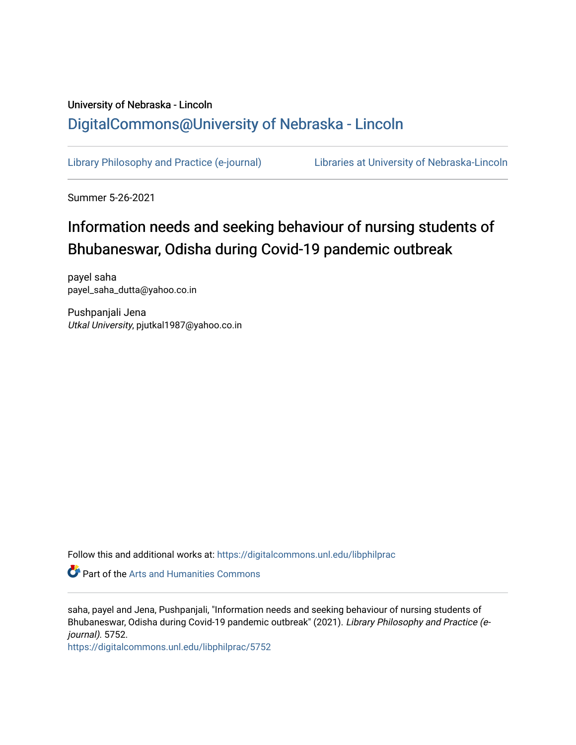## University of Nebraska - Lincoln [DigitalCommons@University of Nebraska - Lincoln](https://digitalcommons.unl.edu/)

[Library Philosophy and Practice \(e-journal\)](https://digitalcommons.unl.edu/libphilprac) [Libraries at University of Nebraska-Lincoln](https://digitalcommons.unl.edu/libraries) 

Summer 5-26-2021

# Information needs and seeking behaviour of nursing students of Bhubaneswar, Odisha during Covid-19 pandemic outbreak

payel saha payel\_saha\_dutta@yahoo.co.in

Pushpanjali Jena Utkal University, pjutkal1987@yahoo.co.in

Follow this and additional works at: [https://digitalcommons.unl.edu/libphilprac](https://digitalcommons.unl.edu/libphilprac?utm_source=digitalcommons.unl.edu%2Flibphilprac%2F5752&utm_medium=PDF&utm_campaign=PDFCoverPages) 

**Part of the Arts and Humanities Commons** 

saha, payel and Jena, Pushpanjali, "Information needs and seeking behaviour of nursing students of Bhubaneswar, Odisha during Covid-19 pandemic outbreak" (2021). Library Philosophy and Practice (ejournal). 5752.

[https://digitalcommons.unl.edu/libphilprac/5752](https://digitalcommons.unl.edu/libphilprac/5752?utm_source=digitalcommons.unl.edu%2Flibphilprac%2F5752&utm_medium=PDF&utm_campaign=PDFCoverPages)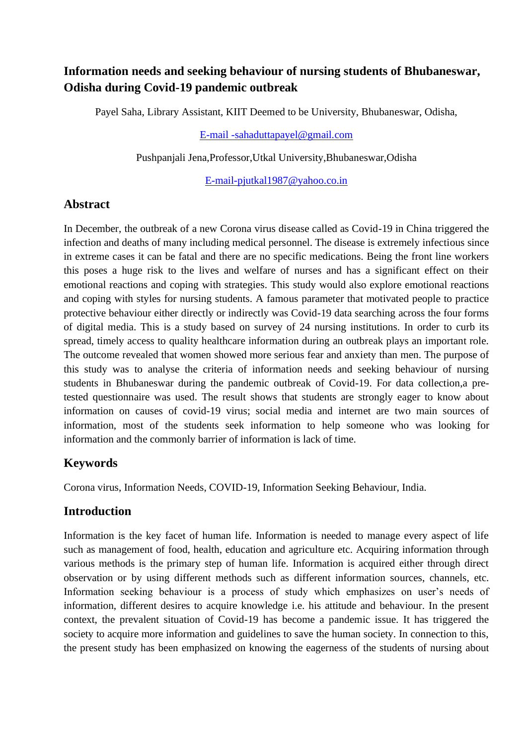### **Information needs and seeking behaviour of nursing students of Bhubaneswar, Odisha during Covid-19 pandemic outbreak**

Payel Saha, Library Assistant, KIIT Deemed to be University, Bhubaneswar, Odisha,

[E-mail -sahaduttapayel@gmail.com](mailto:E-mail%20-sahaduttapayel@gmail.com)

Pushpanjali Jena,Professor,Utkal University,Bhubaneswar,Odisha

[E-mail-pjutkal1987@yahoo.co.in](mailto:E-mail-pjutkal1987@yahoo.co.in)

#### **Abstract**

In December, the outbreak of a new Corona virus disease called as Covid-19 in China triggered the infection and deaths of many including medical personnel. The disease is extremely infectious since in extreme cases it can be fatal and there are no specific medications. Being the front line workers this poses a huge risk to the lives and welfare of nurses and has a significant effect on their emotional reactions and coping with strategies. This study would also explore emotional reactions and coping with styles for nursing students. A famous parameter that motivated people to practice protective behaviour either directly or indirectly was Covid-19 data searching across the four forms of digital media. This is a study based on survey of 24 nursing institutions. In order to curb its spread, timely access to quality healthcare information during an outbreak plays an important role. The outcome revealed that women showed more serious fear and anxiety than men. The purpose of this study was to analyse the criteria of information needs and seeking behaviour of nursing students in Bhubaneswar during the pandemic outbreak of Covid-19. For data collection,a pretested questionnaire was used. The result shows that students are strongly eager to know about information on causes of covid-19 virus; social media and internet are two main sources of information, most of the students seek information to help someone who was looking for information and the commonly barrier of information is lack of time.

### **Keywords**

Corona virus, Information Needs, COVID-19, Information Seeking Behaviour, India.

### **Introduction**

Information is the key facet of human life. Information is needed to manage every aspect of life such as management of food, health, education and agriculture etc. Acquiring information through various methods is the primary step of human life. Information is acquired either through direct observation or by using different methods such as different information sources, channels, etc. Information seeking behaviour is a process of study which emphasizes on user's needs of information, different desires to acquire knowledge i.e. his attitude and behaviour. In the present context, the prevalent situation of Covid-19 has become a pandemic issue. It has triggered the society to acquire more information and guidelines to save the human society. In connection to this, the present study has been emphasized on knowing the eagerness of the students of nursing about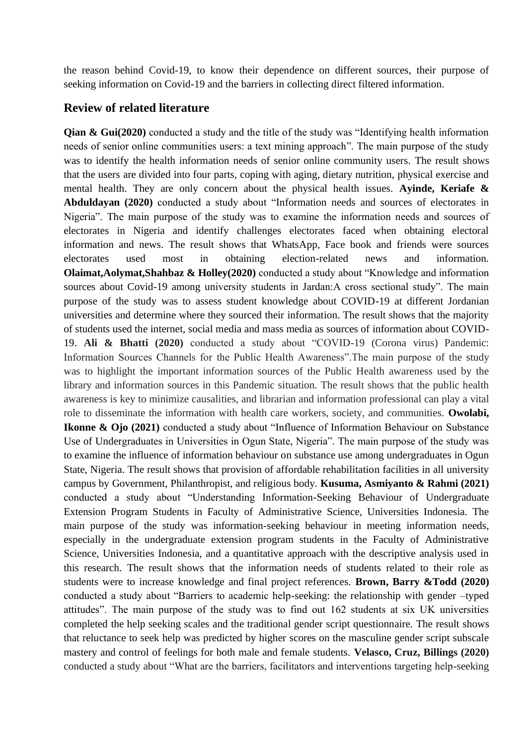the reason behind Covid-19, to know their dependence on different sources, their purpose of seeking information on Covid-19 and the barriers in collecting direct filtered information.

#### **Review of related literature**

**Qian & Gui(2020)** conducted a study and the title of the study was "Identifying health information needs of senior online communities users: a text mining approach". The main purpose of the study was to identify the health information needs of senior online community users. The result shows that the users are divided into four parts, coping with aging, dietary nutrition, physical exercise and mental health. They are only concern about the physical health issues. **Ayinde, Keriafe & Abduldayan (2020)** conducted a study about "Information needs and sources of electorates in Nigeria". The main purpose of the study was to examine the information needs and sources of electorates in Nigeria and identify challenges electorates faced when obtaining electoral information and news. The result shows that WhatsApp, Face book and friends were sources electorates used most in obtaining election-related news and information. **Olaimat,Aolymat,Shahbaz & Holley(2020)** conducted a study about "Knowledge and information sources about Covid-19 among university students in Jardan:A cross sectional study". The main purpose of the study was to assess student knowledge about COVID-19 at different Jordanian universities and determine where they sourced their information. The result shows that the majority of students used the internet, social media and mass media as sources of information about COVID-19. **Ali & Bhatti (2020)** conducted a study about "COVID-19 (Corona virus) Pandemic: Information Sources Channels for the Public Health Awareness".The main purpose of the study was to highlight the important information sources of the Public Health awareness used by the library and information sources in this Pandemic situation. The result shows that the public health awareness is key to minimize causalities, and librarian and information professional can play a vital role to disseminate the information with health care workers, society, and communities. **Owolabi, Ikonne & Ojo (2021)** conducted a study about "Influence of Information Behaviour on Substance Use of Undergraduates in Universities in Ogun State, Nigeria". The main purpose of the study was to examine the influence of information behaviour on substance use among undergraduates in Ogun State, Nigeria. The result shows that provision of affordable rehabilitation facilities in all university campus by Government, Philanthropist, and religious body. **Kusuma, Asmiyanto & Rahmi (2021)** conducted a study about "Understanding Information-Seeking Behaviour of Undergraduate Extension Program Students in Faculty of Administrative Science, Universities Indonesia. The main purpose of the study was information-seeking behaviour in meeting information needs, especially in the undergraduate extension program students in the Faculty of Administrative Science, Universities Indonesia, and a quantitative approach with the descriptive analysis used in this research. The result shows that the information needs of students related to their role as students were to increase knowledge and final project references. **Brown, Barry &Todd (2020)**  conducted a study about "Barriers to academic help-seeking: the relationship with gender –typed attitudes". The main purpose of the study was to find out 162 students at six UK universities completed the help seeking scales and the traditional gender script questionnaire. The result shows that reluctance to seek help was predicted by higher scores on the masculine gender script subscale mastery and control of feelings for both male and female students. **Velasco, Cruz, Billings (2020)**  conducted a study about "What are the barriers, facilitators and interventions targeting help-seeking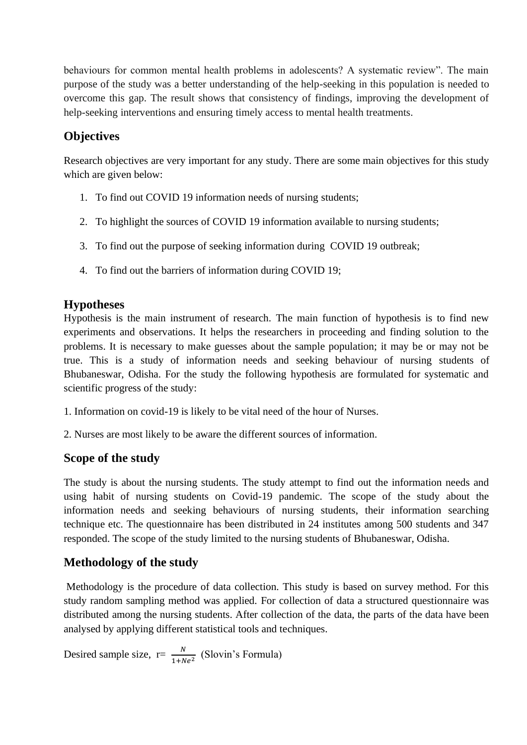behaviours for common mental health problems in adolescents? A systematic review". The main purpose of the study was a better understanding of the help-seeking in this population is needed to overcome this gap. The result shows that consistency of findings, improving the development of help-seeking interventions and ensuring timely access to mental health treatments.

### **Objectives**

Research objectives are very important for any study. There are some main objectives for this study which are given below:

- 1. To find out COVID 19 information needs of nursing students;
- 2. To highlight the sources of COVID 19 information available to nursing students;
- 3. To find out the purpose of seeking information during COVID 19 outbreak;
- 4. To find out the barriers of information during COVID 19;

### **Hypotheses**

Hypothesis is the main instrument of research. The main function of hypothesis is to find new experiments and observations. It helps the researchers in proceeding and finding solution to the problems. It is necessary to make guesses about the sample population; it may be or may not be true. This is a study of information needs and seeking behaviour of nursing students of Bhubaneswar, Odisha. For the study the following hypothesis are formulated for systematic and scientific progress of the study:

- 1. Information on covid-19 is likely to be vital need of the hour of Nurses.
- 2. Nurses are most likely to be aware the different sources of information.

### **Scope of the study**

The study is about the nursing students. The study attempt to find out the information needs and using habit of nursing students on Covid-19 pandemic. The scope of the study about the information needs and seeking behaviours of nursing students, their information searching technique etc. The questionnaire has been distributed in 24 institutes among 500 students and 347 responded. The scope of the study limited to the nursing students of Bhubaneswar, Odisha.

### **Methodology of the study**

Methodology is the procedure of data collection. This study is based on survey method. For this study random sampling method was applied. For collection of data a structured questionnaire was distributed among the nursing students. After collection of the data, the parts of the data have been analysed by applying different statistical tools and techniques.

Desired sample size,  $r = \frac{N}{1 + Ne^2}$  (Slovin's Formula)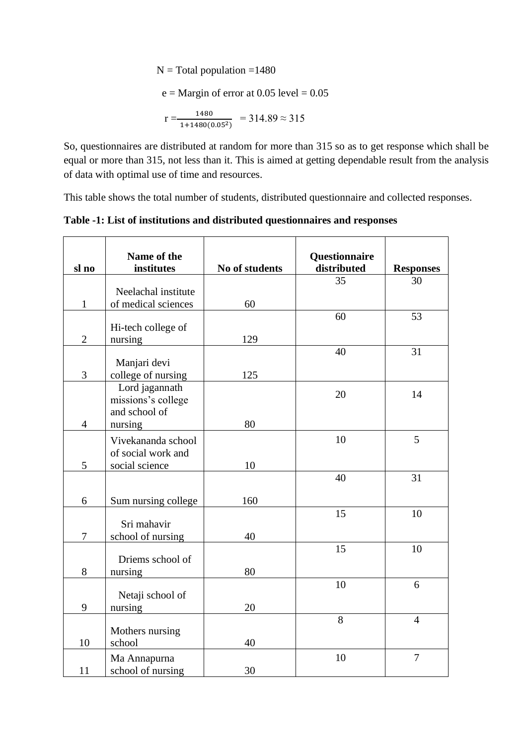$N = Total population = 1480$ 

 $e =$ Margin of error at 0.05 level = 0.05

$$
r = \frac{1480}{1 + 1480(0.05^2)} = 314.89 \approx 315
$$

So, questionnaires are distributed at random for more than 315 so as to get response which shall be equal or more than 315, not less than it. This is aimed at getting dependable result from the analysis of data with optimal use of time and resources.

This table shows the total number of students, distributed questionnaire and collected responses.

**Table -1: List of institutions and distributed questionnaires and responses**

| sl no          | Name of the<br>institutes           | No of students | Questionnaire<br>distributed | <b>Responses</b> |
|----------------|-------------------------------------|----------------|------------------------------|------------------|
|                |                                     |                | 35                           | 30               |
|                | Neelachal institute                 |                |                              |                  |
| $\mathbf{1}$   | of medical sciences                 | 60             | 60                           | 53               |
|                | Hi-tech college of                  |                |                              |                  |
| $\mathfrak{2}$ | nursing                             | 129            |                              |                  |
|                |                                     |                | 40                           | 31               |
|                | Manjari devi                        |                |                              |                  |
| 3              | college of nursing                  | 125            |                              |                  |
|                | Lord jagannath                      |                | 20                           | 14               |
|                | missions's college<br>and school of |                |                              |                  |
| $\overline{4}$ | nursing                             | 80             |                              |                  |
|                | Vivekananda school                  |                | 10                           | 5                |
|                | of social work and                  |                |                              |                  |
| 5              | social science                      | 10             |                              |                  |
|                |                                     |                | 40                           | 31               |
|                |                                     |                |                              |                  |
| 6              | Sum nursing college                 | 160            |                              |                  |
|                |                                     |                | 15                           | 10               |
| 7              | Sri mahavir                         | 40             |                              |                  |
|                | school of nursing                   |                | 15                           | 10               |
|                | Driems school of                    |                |                              |                  |
| 8              | nursing                             | 80             |                              |                  |
|                |                                     |                | 10                           | 6                |
|                | Netaji school of                    |                |                              |                  |
| 9              | nursing                             | 20             |                              |                  |
|                | Mothers nursing                     |                | 8                            | $\overline{4}$   |
| 10             | school                              | 40             |                              |                  |
|                | Ma Annapurna                        |                | 10                           | $\tau$           |
| 11             | school of nursing                   | 30             |                              |                  |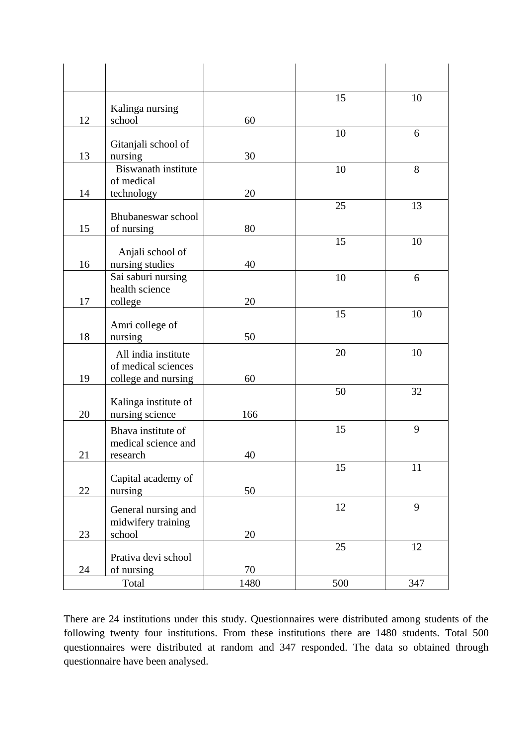|    | Kalinga nursing                       |      | 15  | 10  |
|----|---------------------------------------|------|-----|-----|
| 12 | school                                | 60   |     |     |
|    |                                       |      | 10  | 6   |
|    | Gitanjali school of                   |      |     |     |
| 13 | nursing<br>Biswanath institute        | 30   |     |     |
|    | of medical                            |      | 10  | 8   |
| 14 | technology                            | 20   |     |     |
|    |                                       |      | 25  | 13  |
|    | Bhubaneswar school                    |      |     |     |
| 15 | of nursing                            | 80   |     |     |
|    |                                       |      | 15  | 10  |
| 16 | Anjali school of                      | 40   |     |     |
|    | nursing studies<br>Sai saburi nursing |      | 10  | 6   |
|    | health science                        |      |     |     |
| 17 | college                               | 20   |     |     |
|    |                                       |      | 15  | 10  |
|    | Amri college of                       |      |     |     |
| 18 | nursing                               | 50   |     |     |
|    | All india institute                   |      | 20  | 10  |
|    | of medical sciences                   |      |     |     |
| 19 | college and nursing                   | 60   |     |     |
|    | Kalinga institute of                  |      | 50  | 32  |
| 20 | nursing science                       | 166  |     |     |
|    | Bhava institute of                    |      | 15  | 9   |
|    | medical science and                   |      |     |     |
| 21 | research                              | 40   |     |     |
|    |                                       |      | 15  | 11  |
|    | Capital academy of                    |      |     |     |
| 22 | nursing                               | 50   |     |     |
|    | General nursing and                   |      | 12  | 9   |
|    | midwifery training                    |      |     |     |
| 23 | school                                | 20   |     |     |
|    |                                       |      | 25  | 12  |
| 24 | Prativa devi school                   | 70   |     |     |
|    | of nursing<br>Total                   | 1480 | 500 | 347 |
|    |                                       |      |     |     |

There are 24 institutions under this study. Questionnaires were distributed among students of the following twenty four institutions. From these institutions there are 1480 students. Total 500 questionnaires were distributed at random and 347 responded. The data so obtained through questionnaire have been analysed.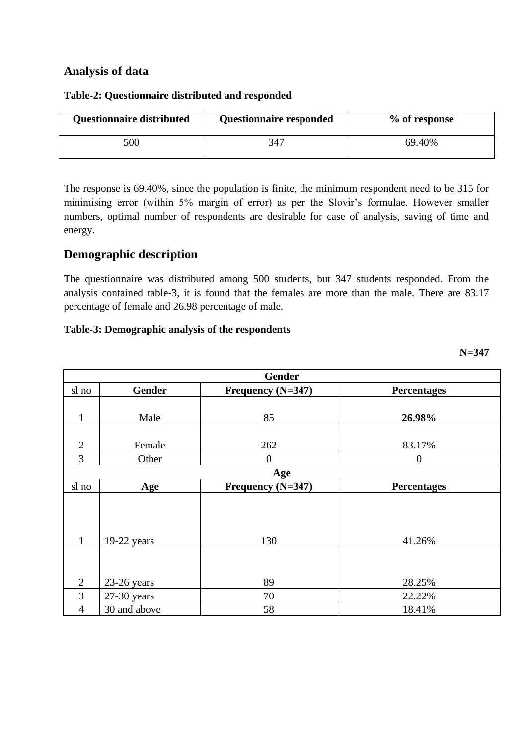#### **Analysis of data**

| Questionnaire distributed | <b>Questionnaire responded</b> | % of response |
|---------------------------|--------------------------------|---------------|
| 500                       | 347                            | 69.40%        |

#### **Table-2: Questionnaire distributed and responded**

The response is 69.40%, since the population is finite, the minimum respondent need to be 315 for minimising error (within 5% margin of error) as per the Slovir's formulae. However smaller numbers, optimal number of respondents are desirable for case of analysis, saving of time and energy.

### **Demographic description**

The questionnaire was distributed among 500 students, but 347 students responded. From the analysis contained table-3, it is found that the females are more than the male. There are 83.17 percentage of female and 26.98 percentage of male.

**N=347**

#### **Table-3: Demographic analysis of the respondents**

|                | <b>Gender</b> |                   |                    |  |  |  |  |  |
|----------------|---------------|-------------------|--------------------|--|--|--|--|--|
| sl no          | <b>Gender</b> | Frequency (N=347) | <b>Percentages</b> |  |  |  |  |  |
|                |               |                   |                    |  |  |  |  |  |
| $\mathbf{1}$   | Male          | 85                | 26.98%             |  |  |  |  |  |
|                |               |                   |                    |  |  |  |  |  |
|                |               |                   |                    |  |  |  |  |  |
| $\overline{2}$ | Female        | 262               | 83.17%             |  |  |  |  |  |
| 3              | Other         | $\boldsymbol{0}$  | $\theta$           |  |  |  |  |  |
|                |               | Age               |                    |  |  |  |  |  |
| sl no          | Age           | Frequency (N=347) | <b>Percentages</b> |  |  |  |  |  |
|                |               |                   |                    |  |  |  |  |  |
|                |               |                   |                    |  |  |  |  |  |
|                |               |                   |                    |  |  |  |  |  |
|                |               |                   |                    |  |  |  |  |  |
| $\mathbf{1}$   | $19-22$ years | 130               | 41.26%             |  |  |  |  |  |
|                |               |                   |                    |  |  |  |  |  |
|                |               |                   |                    |  |  |  |  |  |
| $\overline{2}$ | 23-26 years   | 89                | 28.25%             |  |  |  |  |  |
| 3              | $27-30$ years | 70                | 22.22%             |  |  |  |  |  |
| $\overline{4}$ | 30 and above  | 58                | 18.41%             |  |  |  |  |  |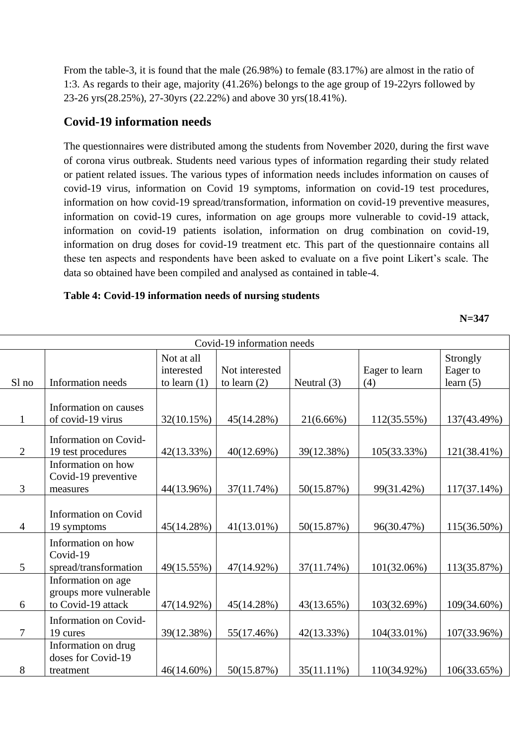From the table-3, it is found that the male (26.98%) to female (83.17%) are almost in the ratio of 1:3. As regards to their age, majority (41.26%) belongs to the age group of 19-22yrs followed by 23-26 yrs(28.25%), 27-30yrs (22.22%) and above 30 yrs(18.41%).

### **Covid-19 information needs**

The questionnaires were distributed among the students from November 2020, during the first wave of corona virus outbreak. Students need various types of information regarding their study related or patient related issues. The various types of information needs includes information on causes of covid-19 virus, information on Covid 19 symptoms, information on covid-19 test procedures, information on how covid-19 spread/transformation, information on covid-19 preventive measures, information on covid-19 cures, information on age groups more vulnerable to covid-19 attack, information on covid-19 patients isolation, information on drug combination on covid-19, information on drug doses for covid-19 treatment etc. This part of the questionnaire contains all these ten aspects and respondents have been asked to evaluate on a five point Likert's scale. The data so obtained have been compiled and analysed as contained in table-4.

#### **Table 4: Covid-19 information needs of nursing students**

**N=347**

|                | Covid-19 information needs                 |                                            |                                  |               |                       |                                     |  |  |
|----------------|--------------------------------------------|--------------------------------------------|----------------------------------|---------------|-----------------------|-------------------------------------|--|--|
| Sl no          | Information needs                          | Not at all<br>interested<br>to learn $(1)$ | Not interested<br>to learn $(2)$ | Neutral $(3)$ | Eager to learn<br>(4) | Strongly<br>Eager to<br>learn $(5)$ |  |  |
|                |                                            |                                            |                                  |               |                       |                                     |  |  |
| $\mathbf{1}$   | Information on causes<br>of covid-19 virus |                                            |                                  |               |                       |                                     |  |  |
|                |                                            | 32(10.15%)                                 | 45(14.28%)                       | $21(6.66\%)$  | 112(35.55%)           | 137(43.49%)                         |  |  |
|                | Information on Covid-                      |                                            |                                  |               |                       |                                     |  |  |
| $\overline{2}$ | 19 test procedures                         | 42(13.33%)                                 | 40(12.69%)                       | 39(12.38%)    | 105(33.33%)           | 121(38.41%)                         |  |  |
|                | Information on how                         |                                            |                                  |               |                       |                                     |  |  |
|                | Covid-19 preventive                        |                                            |                                  |               |                       |                                     |  |  |
| 3              | measures                                   | 44(13.96%)                                 | 37(11.74%)                       | 50(15.87%)    | 99(31.42%)            | $117(37.14\%)$                      |  |  |
|                | <b>Information on Covid</b>                |                                            |                                  |               |                       |                                     |  |  |
| $\overline{4}$ | 19 symptoms                                | 45(14.28%)                                 | $41(13.01\%)$                    | 50(15.87%)    | 96(30.47%)            | 115(36.50%)                         |  |  |
|                | Information on how                         |                                            |                                  |               |                       |                                     |  |  |
|                | Covid-19                                   |                                            |                                  |               |                       |                                     |  |  |
| 5              | spread/transformation                      | 49(15.55%)                                 | 47(14.92%)                       | 37(11.74%)    | 101(32.06%)           | 113(35.87%)                         |  |  |
|                | Information on age                         |                                            |                                  |               |                       |                                     |  |  |
|                | groups more vulnerable                     |                                            |                                  |               |                       |                                     |  |  |
| 6              | to Covid-19 attack                         | 47(14.92%)                                 | 45(14.28%)                       | 43(13.65%)    | 103(32.69%)           | 109(34.60%)                         |  |  |
|                | Information on Covid-                      |                                            |                                  |               |                       |                                     |  |  |
| 7              | 19 cures                                   | 39(12.38%)                                 | 55(17.46%)                       | 42(13.33%)    | 104(33.01%)           | 107(33.96%)                         |  |  |
|                | Information on drug                        |                                            |                                  |               |                       |                                     |  |  |
|                | doses for Covid-19                         |                                            |                                  |               |                       |                                     |  |  |
| 8              | treatment                                  | 46(14.60%)                                 | 50(15.87%)                       | 35(11.11%)    | 110(34.92%)           | 106(33.65%)                         |  |  |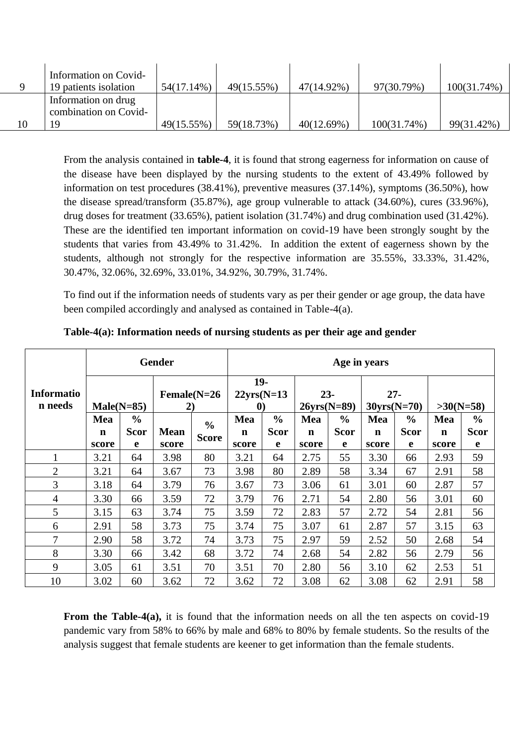|    | Information on Covid- |            |            |            |             |                |
|----|-----------------------|------------|------------|------------|-------------|----------------|
|    | 19 patients isolation | 54(17.14%) | 49(15.55%) | 47(14.92%) | 97(30.79%)  | $100(31.74\%)$ |
|    | Information on drug   |            |            |            |             |                |
|    | combination on Covid- |            |            |            |             |                |
| 10 | -9                    | 49(15.55%) | 59(18.73%) | 40(12.69%) | 100(31.74%) | 99(31.42%)     |

From the analysis contained in **table-4**, it is found that strong eagerness for information on cause of the disease have been displayed by the nursing students to the extent of 43.49% followed by information on test procedures (38.41%), preventive measures (37.14%), symptoms (36.50%), how the disease spread/transform (35.87%), age group vulnerable to attack (34.60%), cures (33.96%), drug doses for treatment (33.65%), patient isolation (31.74%) and drug combination used (31.42%). These are the identified ten important information on covid-19 have been strongly sought by the students that varies from 43.49% to 31.42%. In addition the extent of eagerness shown by the students, although not strongly for the respective information are 35.55%, 33.33%, 31.42%, 30.47%, 32.06%, 32.69%, 33.01%, 34.92%, 30.79%, 31.74%.

To find out if the information needs of students vary as per their gender or age group, the data have been compiled accordingly and analysed as contained in Table-4(a).

|                              | <b>Gender</b> |               |                      |               | Age in years                               |               |                         |               |               |               |             |               |
|------------------------------|---------------|---------------|----------------------|---------------|--------------------------------------------|---------------|-------------------------|---------------|---------------|---------------|-------------|---------------|
| <b>Informatio</b><br>n needs | $Male(N=85)$  |               | $Female(N=26)$<br>2) |               | $19-$<br>$22yrs(N=13)$<br>$\boldsymbol{0}$ |               | $23 -$<br>$26yrs(N=89)$ |               | $30yrs(N=70)$ | $27 -$        | $>30(N=58)$ |               |
|                              | Mea           | $\frac{0}{0}$ |                      | $\frac{0}{0}$ | Mea                                        | $\frac{6}{9}$ | Mea                     | $\frac{6}{6}$ | Mea           | $\frac{0}{0}$ | Mea         | $\frac{0}{0}$ |
|                              | n             | <b>Scor</b>   | <b>Mean</b>          | <b>Score</b>  | $\mathbf n$                                | <b>Scor</b>   | $\mathbf n$             | <b>Scor</b>   | n             | <b>Scor</b>   | n           | <b>Scor</b>   |
|                              | score         | e             | score                |               | score                                      | e             | score                   | e             | score         | e             | score       | e             |
| $\mathbf{1}$                 | 3.21          | 64            | 3.98                 | 80            | 3.21                                       | 64            | 2.75                    | 55            | 3.30          | 66            | 2.93        | 59            |
| $\overline{2}$               | 3.21          | 64            | 3.67                 | 73            | 3.98                                       | 80            | 2.89                    | 58            | 3.34          | 67            | 2.91        | 58            |
| 3                            | 3.18          | 64            | 3.79                 | 76            | 3.67                                       | 73            | 3.06                    | 61            | 3.01          | 60            | 2.87        | 57            |
| $\overline{4}$               | 3.30          | 66            | 3.59                 | 72            | 3.79                                       | 76            | 2.71                    | 54            | 2.80          | 56            | 3.01        | 60            |
| 5                            | 3.15          | 63            | 3.74                 | 75            | 3.59                                       | 72            | 2.83                    | 57            | 2.72          | 54            | 2.81        | 56            |
| 6                            | 2.91          | 58            | 3.73                 | 75            | 3.74                                       | 75            | 3.07                    | 61            | 2.87          | 57            | 3.15        | 63            |
| 7                            | 2.90          | 58            | 3.72                 | 74            | 3.73                                       | 75            | 2.97                    | 59            | 2.52          | 50            | 2.68        | 54            |
| 8                            | 3.30          | 66            | 3.42                 | 68            | 3.72                                       | 74            | 2.68                    | 54            | 2.82          | 56            | 2.79        | 56            |
| 9                            | 3.05          | 61            | 3.51                 | 70            | 3.51                                       | 70            | 2.80                    | 56            | 3.10          | 62            | 2.53        | 51            |
| 10                           | 3.02          | 60            | 3.62                 | 72            | 3.62                                       | 72            | 3.08                    | 62            | 3.08          | 62            | 2.91        | 58            |

**Table-4(a): Information needs of nursing students as per their age and gender**

**From the Table-4(a),** it is found that the information needs on all the ten aspects on covid-19 pandemic vary from 58% to 66% by male and 68% to 80% by female students. So the results of the analysis suggest that female students are keener to get information than the female students.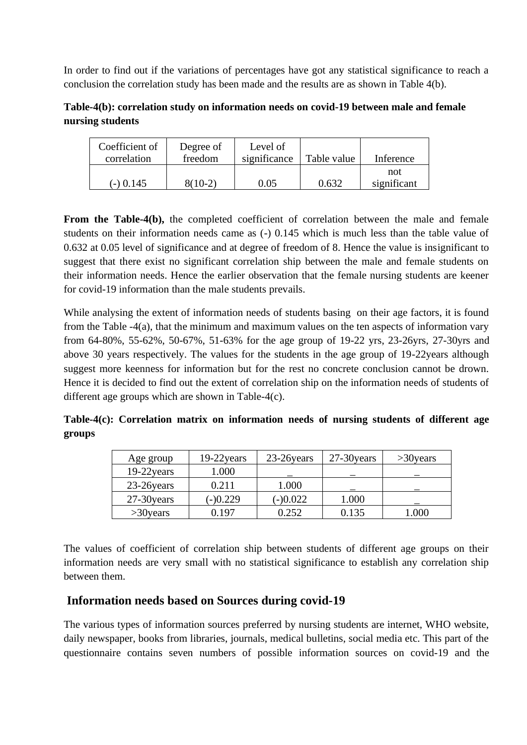In order to find out if the variations of percentages have got any statistical significance to reach a conclusion the correlation study has been made and the results are as shown in Table 4(b).

**Table-4(b): correlation study on information needs on covid-19 between male and female nursing students**

| Coefficient of | Degree of | Level of     |             |             |
|----------------|-----------|--------------|-------------|-------------|
| correlation    | freedom   | significance | Table value | Inference   |
|                |           |              |             | not         |
| $(-)$ 0.145    | $8(10-2)$ | 0.05         | በ 632       | significant |

From the Table-4(b), the completed coefficient of correlation between the male and female students on their information needs came as (-) 0.145 which is much less than the table value of 0.632 at 0.05 level of significance and at degree of freedom of 8. Hence the value is insignificant to suggest that there exist no significant correlation ship between the male and female students on their information needs. Hence the earlier observation that the female nursing students are keener for covid-19 information than the male students prevails.

While analysing the extent of information needs of students basing on their age factors, it is found from the Table -4(a), that the minimum and maximum values on the ten aspects of information vary from 64-80%, 55-62%, 50-67%, 51-63% for the age group of 19-22 yrs, 23-26yrs, 27-30yrs and above 30 years respectively. The values for the students in the age group of 19-22years although suggest more keenness for information but for the rest no concrete conclusion cannot be drown. Hence it is decided to find out the extent of correlation ship on the information needs of students of different age groups which are shown in Table-4(c).

**Table-4(c): Correlation matrix on information needs of nursing students of different age groups**

| Age group     | 19-22 years | 23-26 years | 27-30 years | $>30$ years |
|---------------|-------------|-------------|-------------|-------------|
| $19-22$ years | 1.000       |             |             |             |
| 23-26 years   | 0.211       | 1.000       |             |             |
| 27-30 years   | $(-)0.229$  | $(-)0.022$  | 1.000       |             |
| $>30$ years   | በ 197       | 0.252       | 0.135       | 1.000       |

The values of coefficient of correlation ship between students of different age groups on their information needs are very small with no statistical significance to establish any correlation ship between them.

### **Information needs based on Sources during covid-19**

The various types of information sources preferred by nursing students are internet, WHO website, daily newspaper, books from libraries, journals, medical bulletins, social media etc. This part of the questionnaire contains seven numbers of possible information sources on covid-19 and the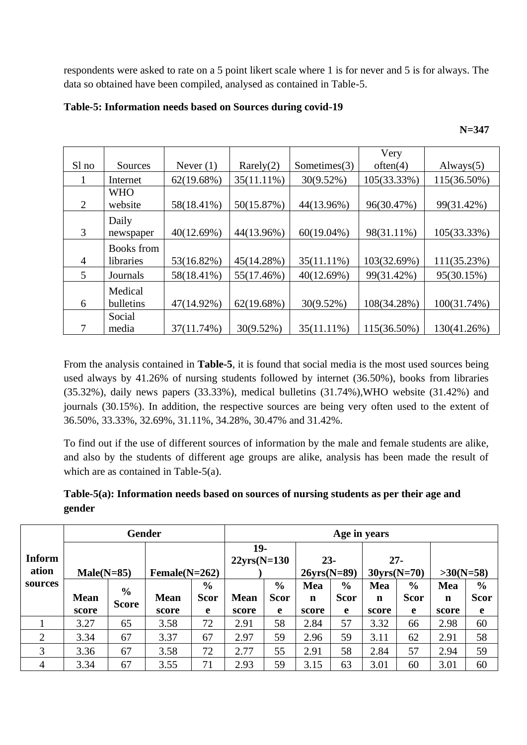respondents were asked to rate on a 5 point likert scale where 1 is for never and 5 is for always. The data so obtained have been compiled, analysed as contained in Table-5.

|       |            |             |               |                 | Very        |              |
|-------|------------|-------------|---------------|-----------------|-------------|--------------|
| Sl no | Sources    | Never $(1)$ | Rarely(2)     | Sometimes $(3)$ | often(4)    | Always $(5)$ |
|       | Internet   | 62(19.68%)  | $35(11.11\%)$ | 30(9.52%)       | 105(33.33%) | 115(36.50%)  |
|       | <b>WHO</b> |             |               |                 |             |              |
| 2     | website    | 58(18.41%)  | 50(15.87%)    | 44(13.96%)      | 96(30.47%)  | 99(31.42%)   |
|       | Daily      |             |               |                 |             |              |
| 3     | newspaper  | 40(12.69%)  | 44(13.96%)    | $60(19.04\%)$   | 98(31.11%)  | 105(33.33%)  |
|       | Books from |             |               |                 |             |              |
| 4     | libraries  | 53(16.82%)  | 45(14.28%)    | 35(11.11%)      | 103(32.69%) | 111(35.23%)  |
| 5     | Journals   | 58(18.41%)  | 55(17.46%)    | 40(12.69%)      | 99(31.42%)  | 95(30.15%)   |
|       | Medical    |             |               |                 |             |              |
| 6     | bulletins  | 47(14.92%)  | 62(19.68%)    | 30(9.52%)       | 108(34.28%) | 100(31.74%)  |
|       | Social     |             |               |                 |             |              |
|       | media      | 37(11.74%)  | $30(9.52\%)$  | $35(11.11\%)$   | 115(36.50%) | 130(41.26%)  |

**Table-5: Information needs based on Sources during covid-19**

From the analysis contained in **Table-5**, it is found that social media is the most used sources being used always by 41.26% of nursing students followed by internet (36.50%), books from libraries (35.32%), daily news papers (33.33%), medical bulletins (31.74%),WHO website (31.42%) and journals (30.15%). In addition, the respective sources are being very often used to the extent of 36.50%, 33.33%, 32.69%, 31.11%, 34.28%, 30.47% and 31.42%.

To find out if the use of different sources of information by the male and female students are alike, and also by the students of different age groups are alike, analysis has been made the result of which are as contained in Table-5(a).

| Table-5(a): Information needs based on sources of nursing students as per their age and |  |
|-----------------------------------------------------------------------------------------|--|
| gender                                                                                  |  |

|                        | <b>Gender</b> |                               |                  |               | Age in years          |               |                         |               |                         |               |             |               |  |
|------------------------|---------------|-------------------------------|------------------|---------------|-----------------------|---------------|-------------------------|---------------|-------------------------|---------------|-------------|---------------|--|
| <b>Inform</b><br>ation | $Male(N=85)$  |                               | Female $(N=262)$ |               | 19-<br>$22yrs(N=130)$ |               | $23 -$<br>$26yrs(N=89)$ |               | $27 -$<br>$30yrs(N=70)$ |               | $>30(N=58)$ |               |  |
| sources                |               |                               |                  | $\frac{0}{0}$ |                       | $\frac{6}{6}$ | Mea                     | $\frac{6}{6}$ | Mea                     | $\frac{6}{6}$ | Mea         | $\frac{6}{6}$ |  |
|                        | <b>Mean</b>   | $\frac{6}{6}$<br><b>Score</b> | <b>Mean</b>      | <b>Scor</b>   | <b>Mean</b>           | <b>Scor</b>   | n                       | <b>Scor</b>   | n                       | <b>Scor</b>   | $\mathbf n$ | <b>Scor</b>   |  |
|                        | score         |                               | score            | e             | score                 | e             | score                   | e             | score                   | e             | score       | e             |  |
|                        | 3.27          | 65                            | 3.58             | 72            | 2.91                  | 58            | 2.84                    | 57            | 3.32                    | 66            | 2.98        | 60            |  |
| $\overline{2}$         | 3.34          | 67                            | 3.37             | 67            | 2.97                  | 59            | 2.96                    | 59            | 3.11                    | 62            | 2.91        | 58            |  |
| 3                      | 3.36          | 67                            | 3.58             | 72            | 2.77                  | 55            | 2.91                    | 58            | 2.84                    | 57            | 2.94        | 59            |  |
| 4                      | 3.34          | 67                            | 3.55             | 71            | 2.93                  | 59            | 3.15                    | 63            | 3.01                    | 60            | 3.01        | 60            |  |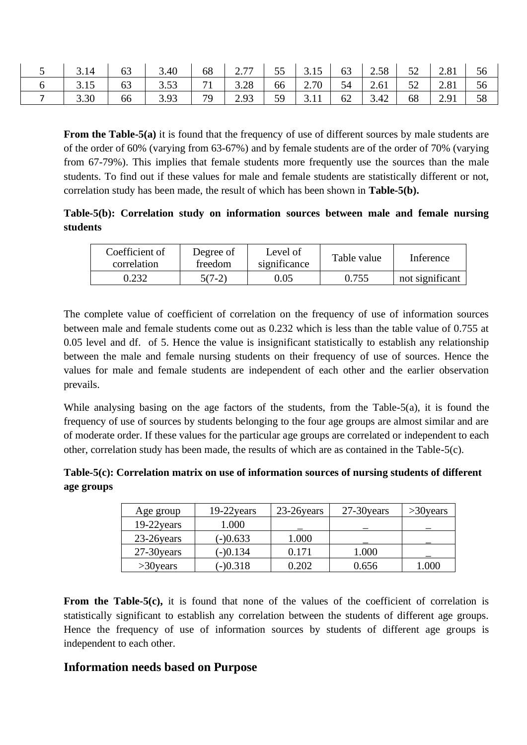| 3.14 | 63 | 3.40 | 68 | 27<br>$\sim$ $\cdot$ $\cdot$ | 55 | 3.15 | 63 | 2.58 | 52 | 2.81 | 56 |
|------|----|------|----|------------------------------|----|------|----|------|----|------|----|
| 3.15 | 63 | 3.53 | 71 | 3.28                         | 66 | 2.70 | 54 | 2.61 | 52 | 2.81 | 56 |
| 3.30 | 66 | 3.93 | 79 | 2.93                         | 59 | 3.11 | 62 | 3.42 | 68 | 2.91 | 58 |

**From the Table-5(a)** it is found that the frequency of use of different sources by male students are of the order of 60% (varying from 63-67%) and by female students are of the order of 70% (varying from 67-79%). This implies that female students more frequently use the sources than the male students. To find out if these values for male and female students are statistically different or not, correlation study has been made, the result of which has been shown in **Table-5(b).**

#### **Table-5(b): Correlation study on information sources between male and female nursing students**

| Coefficient of<br>correlation | Level of<br>Degree of<br>significance<br>freedom |      | Table value | Inference       |
|-------------------------------|--------------------------------------------------|------|-------------|-----------------|
| 0.232                         | $5(7-2)$                                         | 0.05 | 0.755       | not significant |

The complete value of coefficient of correlation on the frequency of use of information sources between male and female students come out as 0.232 which is less than the table value of 0.755 at 0.05 level and df. of 5. Hence the value is insignificant statistically to establish any relationship between the male and female nursing students on their frequency of use of sources. Hence the values for male and female students are independent of each other and the earlier observation prevails.

While analysing basing on the age factors of the students, from the Table-5(a), it is found the frequency of use of sources by students belonging to the four age groups are almost similar and are of moderate order. If these values for the particular age groups are correlated or independent to each other, correlation study has been made, the results of which are as contained in the Table-5(c).

**Table-5(c): Correlation matrix on use of information sources of nursing students of different age groups** 

| Age group     | $19-22$ years | 23-26 years | 27-30 years | $>30$ years |
|---------------|---------------|-------------|-------------|-------------|
| $19-22$ years | 1.000         |             |             |             |
| 23-26 years   | $(-)0.633$    | 1.000       |             |             |
| 27-30 years   | $(-)0.134$    | 0.171       | 1.000       |             |
| $>30$ years   | $(-)0.318$    | 0.202       | 0.656       | 1.000       |

**From the Table-5(c),** it is found that none of the values of the coefficient of correlation is statistically significant to establish any correlation between the students of different age groups. Hence the frequency of use of information sources by students of different age groups is independent to each other.

#### **Information needs based on Purpose**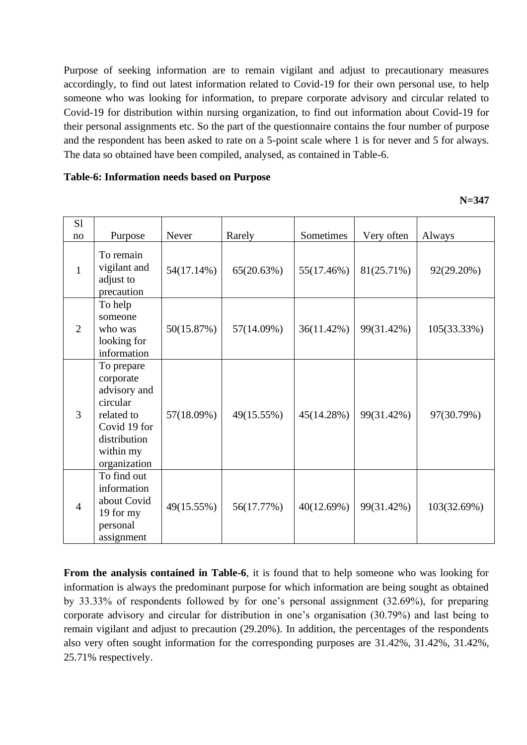Purpose of seeking information are to remain vigilant and adjust to precautionary measures accordingly, to find out latest information related to Covid-19 for their own personal use, to help someone who was looking for information, to prepare corporate advisory and circular related to Covid-19 for distribution within nursing organization, to find out information about Covid-19 for their personal assignments etc. So the part of the questionnaire contains the four number of purpose and the respondent has been asked to rate on a 5-point scale where 1 is for never and 5 for always. The data so obtained have been compiled, analysed, as contained in Table-6.

#### **Table-6: Information needs based on Purpose**

**N=347**

| S1             |                                                                                                                                |            |            |            |            |             |
|----------------|--------------------------------------------------------------------------------------------------------------------------------|------------|------------|------------|------------|-------------|
| no             | Purpose                                                                                                                        | Never      | Rarely     | Sometimes  | Very often | Always      |
| $\mathbf{1}$   | To remain<br>vigilant and<br>adjust to<br>precaution                                                                           | 54(17.14%) | 65(20.63%) | 55(17.46%) | 81(25.71%) | 92(29.20%)  |
| $\overline{2}$ | To help<br>someone<br>who was<br>looking for<br>information                                                                    | 50(15.87%) | 57(14.09%) | 36(11.42%) | 99(31.42%) | 105(33.33%) |
| 3              | To prepare<br>corporate<br>advisory and<br>circular<br>related to<br>Covid 19 for<br>distribution<br>within my<br>organization | 57(18.09%) | 49(15.55%) | 45(14.28%) | 99(31.42%) | 97(30.79%)  |
| $\overline{4}$ | To find out<br>information<br>about Covid<br>19 for my<br>personal<br>assignment                                               | 49(15.55%) | 56(17.77%) | 40(12.69%) | 99(31.42%) | 103(32.69%) |

**From the analysis contained in Table-6**, it is found that to help someone who was looking for information is always the predominant purpose for which information are being sought as obtained by 33.33% of respondents followed by for one's personal assignment (32.69%), for preparing corporate advisory and circular for distribution in one's organisation (30.79%) and last being to remain vigilant and adjust to precaution (29.20%). In addition, the percentages of the respondents also very often sought information for the corresponding purposes are 31.42%, 31.42%, 31.42%, 25.71% respectively.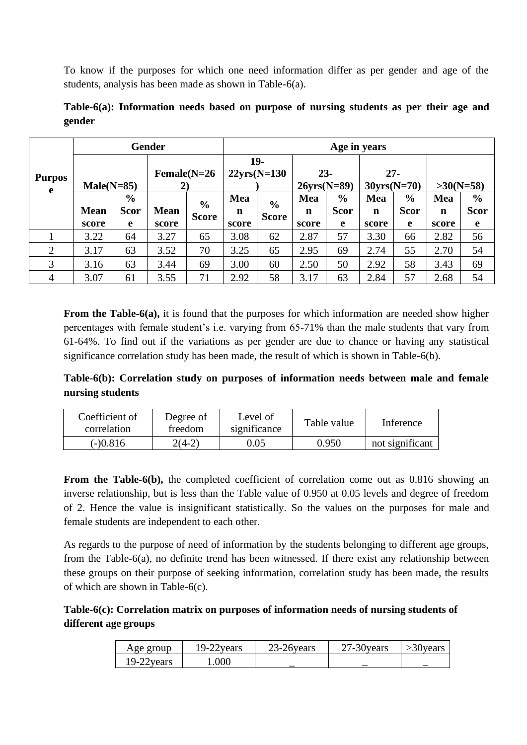To know if the purposes for which one need information differ as per gender and age of the students, analysis has been made as shown in Table-6(a).

|                    |              |               | <b>Gender</b>        | Age in years  |                       |               |                         |               |                         |             |             |               |  |
|--------------------|--------------|---------------|----------------------|---------------|-----------------------|---------------|-------------------------|---------------|-------------------------|-------------|-------------|---------------|--|
| <b>Purpos</b><br>e | $Male(N=85)$ |               | $Female(N=26)$<br>2) |               | 19-<br>$22yrs(N=130)$ |               | $23 -$<br>$26yrs(N=89)$ |               | $27 -$<br>$30yrs(N=70)$ |             | $>30(N=58)$ |               |  |
|                    |              | $\frac{6}{6}$ |                      | $\frac{6}{6}$ | Mea                   | $\frac{6}{6}$ | Mea                     | $\frac{6}{6}$ | Mea                     | $\%$        | Mea         | $\frac{6}{6}$ |  |
|                    | <b>Mean</b>  | <b>Scor</b>   | <b>Mean</b>          | <b>Score</b>  | n                     | <b>Score</b>  | n                       | <b>Scor</b>   | n                       | <b>Scor</b> | n           | <b>Scor</b>   |  |
|                    | score        | e             | score                |               | score                 |               | score                   | e             | score                   | e           | score       | e             |  |
|                    | 3.22         | 64            | 3.27                 | 65            | 3.08                  | 62            | 2.87                    | 57            | 3.30                    | 66          | 2.82        | 56            |  |
| $\overline{2}$     | 3.17         | 63            | 3.52                 | 70            | 3.25                  | 65            | 2.95                    | 69            | 2.74                    | 55          | 2.70        | 54            |  |
| 3                  | 3.16         | 63            | 3.44                 | 69            | 3.00                  | 60            | 2.50                    | 50            | 2.92                    | 58          | 3.43        | 69            |  |
| 4                  | 3.07         | 61            | 3.55                 | 71            | 2.92                  | 58            | 3.17                    | 63            | 2.84                    | 57          | 2.68        | 54            |  |

**Table-6(a): Information needs based on purpose of nursing students as per their age and gender**

**From the Table-6(a),** it is found that the purposes for which information are needed show higher percentages with female student's i.e. varying from 65-71% than the male students that vary from 61-64%. To find out if the variations as per gender are due to chance or having any statistical significance correlation study has been made, the result of which is shown in Table-6(b).

**Table-6(b): Correlation study on purposes of information needs between male and female nursing students**

| Coefficient of<br>correlation | Level of<br>Degree of<br>significance<br>freedom |      | Table value | Inference       |
|-------------------------------|--------------------------------------------------|------|-------------|-----------------|
| (-)0.816                      | $2(4-2)$                                         | 0.05 | 0.950       | not significant |

**From the Table-6(b),** the completed coefficient of correlation come out as 0.816 showing an inverse relationship, but is less than the Table value of 0.950 at 0.05 levels and degree of freedom of 2. Hence the value is insignificant statistically. So the values on the purposes for male and female students are independent to each other.

As regards to the purpose of need of information by the students belonging to different age groups, from the Table-6(a), no definite trend has been witnessed. If there exist any relationship between these groups on their purpose of seeking information, correlation study has been made, the results of which are shown in Table-6(c).

#### **Table-6(c): Correlation matrix on purposes of information needs of nursing students of different age groups**

| Age group     | 19-22 years | 23-26 years              | 27-30 years | >30 years |
|---------------|-------------|--------------------------|-------------|-----------|
| $19-22$ years | .000        | $\overline{\phantom{a}}$ |             |           |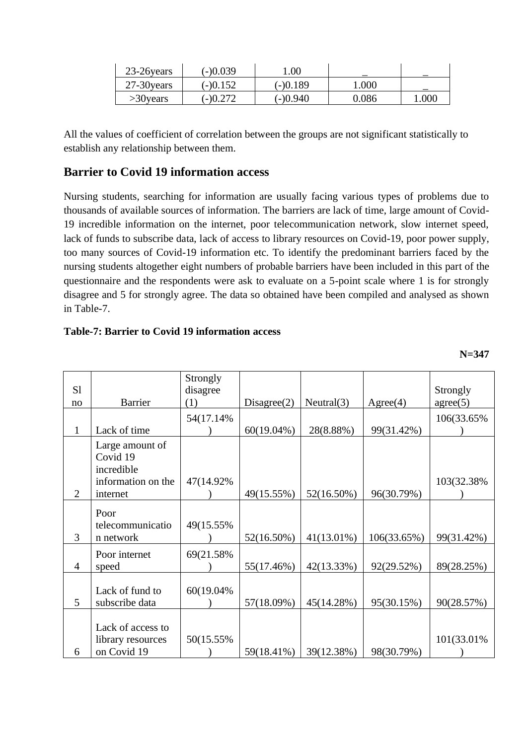| 23-26 years   | $(-)0.039$ | 00.1       |       |      |
|---------------|------------|------------|-------|------|
| $27-30$ years | $(-)0.152$ | $(-)0.189$ | 1.000 |      |
| $>30$ years   | $(-)0.272$ | (-)0.940   | 0.086 | .000 |

All the values of coefficient of correlation between the groups are not significant statistically to establish any relationship between them.

### **Barrier to Covid 19 information access**

Nursing students, searching for information are usually facing various types of problems due to thousands of available sources of information. The barriers are lack of time, large amount of Covid-19 incredible information on the internet, poor telecommunication network, slow internet speed, lack of funds to subscribe data, lack of access to library resources on Covid-19, poor power supply, too many sources of Covid-19 information etc. To identify the predominant barriers faced by the nursing students altogether eight numbers of probable barriers have been included in this part of the questionnaire and the respondents were ask to evaluate on a 5-point scale where 1 is for strongly disagree and 5 for strongly agree. The data so obtained have been compiled and analysed as shown in Table-7.

#### **Table-7: Barrier to Covid 19 information access**

| S1<br>no       | <b>Barrier</b>                                                              | Strongly<br>disagree<br>(1) | Disagree(2)   | Neutral(3) | Agree(4)    | Strongly<br>agree(5) |
|----------------|-----------------------------------------------------------------------------|-----------------------------|---------------|------------|-------------|----------------------|
| $\mathbf{1}$   | Lack of time                                                                | 54(17.14%)                  | $60(19.04\%)$ | 28(8.88%)  | 99(31.42%)  | 106(33.65%)          |
| 2              | Large amount of<br>Covid 19<br>incredible<br>information on the<br>internet | 47(14.92%)                  | 49(15.55%)    | 52(16.50%) | 96(30.79%)  | 103(32.38%)          |
| 3              | Poor<br>telecommunicatio<br>n network                                       | 49(15.55%)                  | 52(16.50%)    | 41(13.01%) | 106(33.65%) | 99(31.42%)           |
| $\overline{4}$ | Poor internet<br>speed                                                      | 69(21.58%)                  | 55(17.46%)    | 42(13.33%) | 92(29.52%)  | 89(28.25%)           |
| 5              | Lack of fund to<br>subscribe data                                           | 60(19.04%)                  | 57(18.09%)    | 45(14.28%) | 95(30.15%)  | 90(28.57%)           |
| 6              | Lack of access to<br>library resources<br>on Covid 19                       | 50(15.55%)                  | 59(18.41%)    | 39(12.38%) | 98(30.79%)  | 101(33.01%)          |

**N=347**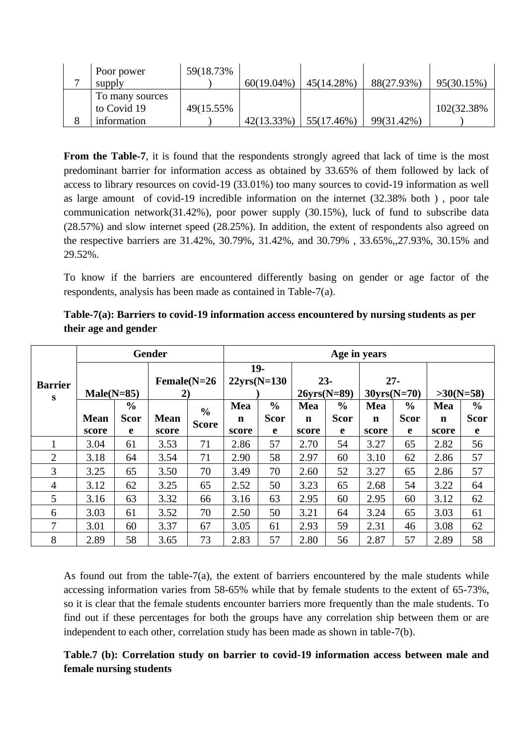| Poor power      | 59(18.73%) |               |            |            |             |
|-----------------|------------|---------------|------------|------------|-------------|
| supply          |            | $60(19.04\%)$ | 45(14.28%) | 88(27.93%) | 95(30.15%)  |
| To many sources |            |               |            |            |             |
| to Covid 19     | 49(15.55%) |               |            |            | 102(32.38%) |
| information     |            | 42(13.33%)    | 55(17.46%) | 99(31.42%) |             |

**From the Table-7**, it is found that the respondents strongly agreed that lack of time is the most predominant barrier for information access as obtained by 33.65% of them followed by lack of access to library resources on covid-19 (33.01%) too many sources to covid-19 information as well as large amount of covid-19 incredible information on the internet (32.38% both ) , poor tale communication network(31.42%), poor power supply (30.15%), luck of fund to subscribe data (28.57%) and slow internet speed (28.25%). In addition, the extent of respondents also agreed on the respective barriers are 31.42%, 30.79%, 31.42%, and 30.79% , 33.65%,,27.93%, 30.15% and 29.52%.

To know if the barriers are encountered differently basing on gender or age factor of the respondents, analysis has been made as contained in Table-7(a).

|                     |                      |                                   | <b>Gender</b>                   |                               |                       |                                   |                         |                                    | Age in years                   |                                   |                             |                                   |
|---------------------|----------------------|-----------------------------------|---------------------------------|-------------------------------|-----------------------|-----------------------------------|-------------------------|------------------------------------|--------------------------------|-----------------------------------|-----------------------------|-----------------------------------|
| <b>Barrier</b><br>S | $Male(N=85)$         |                                   | $Female(N=26)$<br>$\mathbf{2})$ |                               | 19-<br>$22yrs(N=130)$ |                                   | $23 -$<br>$26vrs(N=89)$ |                                    | $27 -$<br>$30\text{vrs}(N=70)$ |                                   | $>30(N=58)$                 |                                   |
|                     | <b>Mean</b><br>score | $\frac{0}{0}$<br><b>Scor</b><br>e | <b>Mean</b><br>score            | $\frac{6}{6}$<br><b>Score</b> | Mea<br>n<br>score     | $\frac{0}{0}$<br><b>Scor</b><br>e | Mea<br>n<br>score       | $\frac{6}{10}$<br><b>Scor</b><br>e | Mea<br>n<br>score              | $\frac{0}{0}$<br><b>Scor</b><br>e | Mea<br>$\mathbf n$<br>score | $\frac{0}{0}$<br><b>Scor</b><br>e |
|                     | 3.04                 | 61                                | 3.53                            | 71                            | 2.86                  | 57                                | 2.70                    | 54                                 | 3.27                           | 65                                | 2.82                        | 56                                |
| 2                   | 3.18                 | 64                                | 3.54                            | 71                            | 2.90                  | 58                                | 2.97                    | 60                                 | 3.10                           | 62                                | 2.86                        | 57                                |
| 3                   | 3.25                 | 65                                | 3.50                            | 70                            | 3.49                  | 70                                | 2.60                    | 52                                 | 3.27                           | 65                                | 2.86                        | 57                                |
| $\overline{4}$      | 3.12                 | 62                                | 3.25                            | 65                            | 2.52                  | 50                                | 3.23                    | 65                                 | 2.68                           | 54                                | 3.22                        | 64                                |
| 5                   | 3.16                 | 63                                | 3.32                            | 66                            | 3.16                  | 63                                | 2.95                    | 60                                 | 2.95                           | 60                                | 3.12                        | 62                                |
| 6                   | 3.03                 | 61                                | 3.52                            | 70                            | 2.50                  | 50                                | 3.21                    | 64                                 | 3.24                           | 65                                | 3.03                        | 61                                |
| 7                   | 3.01                 | 60                                | 3.37                            | 67                            | 3.05                  | 61                                | 2.93                    | 59                                 | 2.31                           | 46                                | 3.08                        | 62                                |
| 8                   | 2.89                 | 58                                | 3.65                            | 73                            | 2.83                  | 57                                | 2.80                    | 56                                 | 2.87                           | 57                                | 2.89                        | 58                                |

**Table-7(a): Barriers to covid-19 information access encountered by nursing students as per their age and gender**

As found out from the table-7(a), the extent of barriers encountered by the male students while accessing information varies from 58-65% while that by female students to the extent of 65-73%, so it is clear that the female students encounter barriers more frequently than the male students. To find out if these percentages for both the groups have any correlation ship between them or are independent to each other, correlation study has been made as shown in table-7(b).

#### **Table.7 (b): Correlation study on barrier to covid-19 information access between male and female nursing students**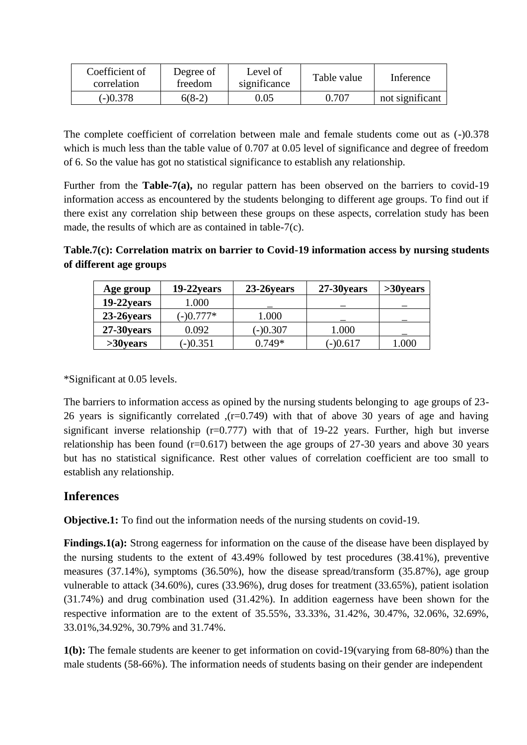| Coefficient of<br>correlation | Degree of<br>freedom | Level of<br>significance | Table value | Inference       |
|-------------------------------|----------------------|--------------------------|-------------|-----------------|
| $(-)0.378$                    | $6(8-2)$             | 9.05                     | 0.707       | not significant |

The complete coefficient of correlation between male and female students come out as (-)0.378 which is much less than the table value of 0.707 at 0.05 level of significance and degree of freedom of 6. So the value has got no statistical significance to establish any relationship.

Further from the **Table-7(a),** no regular pattern has been observed on the barriers to covid-19 information access as encountered by the students belonging to different age groups. To find out if there exist any correlation ship between these groups on these aspects, correlation study has been made, the results of which are as contained in table-7(c).

**Table.7(c): Correlation matrix on barrier to Covid-19 information access by nursing students of different age groups**

| Age group     | 19-22 years | 23-26 years | 27-30 years | $>30$ years |
|---------------|-------------|-------------|-------------|-------------|
| $19-22$ years | 1.000       |             |             |             |
| 23-26 years   | $(-)0.777*$ | 1.000       |             |             |
| 27-30 years   | 0.092       | $(-)0.307$  | 1.000       |             |
| $>30$ years   | $(-)0.351$  | $0.749*$    | $(-)0.617$  | l .000      |

\*Significant at 0.05 levels.

The barriers to information access as opined by the nursing students belonging to age groups of 23- 26 years is significantly correlated ,(r=0.749) with that of above 30 years of age and having significant inverse relationship  $(r=0.777)$  with that of 19-22 years. Further, high but inverse relationship has been found  $(r=0.617)$  between the age groups of 27-30 years and above 30 years but has no statistical significance. Rest other values of correlation coefficient are too small to establish any relationship.

### **Inferences**

**Objective.1:** To find out the information needs of the nursing students on covid-19.

**Findings.1(a):** Strong eagerness for information on the cause of the disease have been displayed by the nursing students to the extent of 43.49% followed by test procedures (38.41%), preventive measures (37.14%), symptoms (36.50%), how the disease spread/transform (35.87%), age group vulnerable to attack (34.60%), cures (33.96%), drug doses for treatment (33.65%), patient isolation (31.74%) and drug combination used (31.42%). In addition eagerness have been shown for the respective information are to the extent of 35.55%, 33.33%, 31.42%, 30.47%, 32.06%, 32.69%, 33.01%,34.92%, 30.79% and 31.74%.

**1(b):** The female students are keener to get information on covid-19(varying from 68-80%) than the male students (58-66%). The information needs of students basing on their gender are independent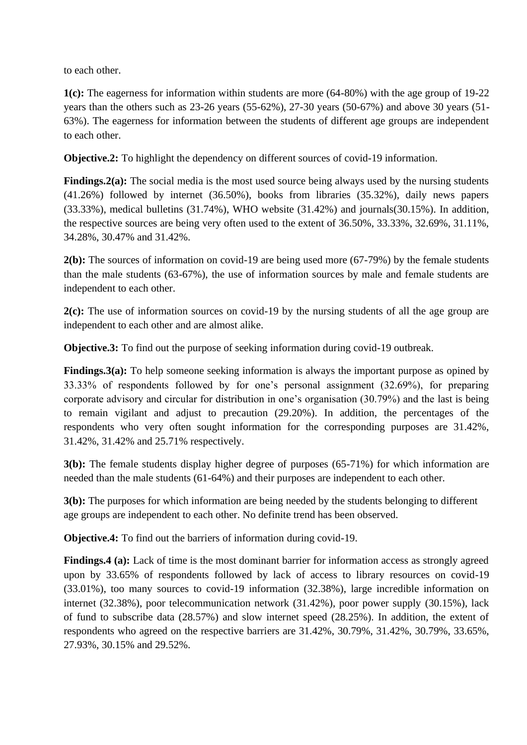to each other.

**1(c):** The eagerness for information within students are more (64-80%) with the age group of 19-22 years than the others such as 23-26 years (55-62%), 27-30 years (50-67%) and above 30 years (51- 63%). The eagerness for information between the students of different age groups are independent to each other.

**Objective.2:** To highlight the dependency on different sources of covid-19 information.

**Findings.2(a):** The social media is the most used source being always used by the nursing students (41.26%) followed by internet (36.50%), books from libraries (35.32%), daily news papers  $(33.33\%)$ , medical bulletins  $(31.74\%)$ , WHO website  $(31.42\%)$  and journals $(30.15\%)$ . In addition, the respective sources are being very often used to the extent of 36.50%, 33.33%, 32.69%, 31.11%, 34.28%, 30.47% and 31.42%.

**2(b):** The sources of information on covid-19 are being used more (67-79%) by the female students than the male students (63-67%), the use of information sources by male and female students are independent to each other.

**2(c):** The use of information sources on covid-19 by the nursing students of all the age group are independent to each other and are almost alike.

**Objective.3:** To find out the purpose of seeking information during covid-19 outbreak.

**Findings.3(a):** To help someone seeking information is always the important purpose as opined by 33.33% of respondents followed by for one's personal assignment (32.69%), for preparing corporate advisory and circular for distribution in one's organisation (30.79%) and the last is being to remain vigilant and adjust to precaution (29.20%). In addition, the percentages of the respondents who very often sought information for the corresponding purposes are 31.42%, 31.42%, 31.42% and 25.71% respectively.

**3(b):** The female students display higher degree of purposes (65-71%) for which information are needed than the male students (61-64%) and their purposes are independent to each other.

**3(b):** The purposes for which information are being needed by the students belonging to different age groups are independent to each other. No definite trend has been observed.

**Objective.4:** To find out the barriers of information during covid-19.

**Findings.4 (a):** Lack of time is the most dominant barrier for information access as strongly agreed upon by 33.65% of respondents followed by lack of access to library resources on covid-19 (33.01%), too many sources to covid-19 information (32.38%), large incredible information on internet (32.38%), poor telecommunication network (31.42%), poor power supply (30.15%), lack of fund to subscribe data (28.57%) and slow internet speed (28.25%). In addition, the extent of respondents who agreed on the respective barriers are 31.42%, 30.79%, 31.42%, 30.79%, 33.65%, 27.93%, 30.15% and 29.52%.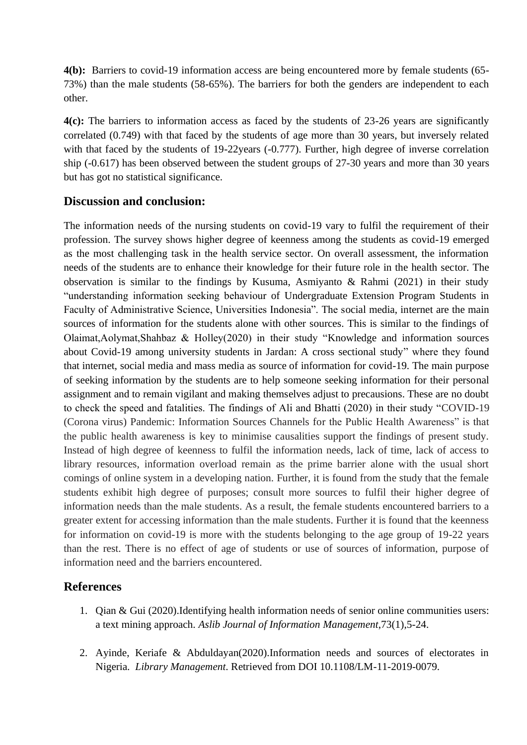**4(b):** Barriers to covid-19 information access are being encountered more by female students (65- 73%) than the male students (58-65%). The barriers for both the genders are independent to each other.

**4(c):** The barriers to information access as faced by the students of 23-26 years are significantly correlated (0.749) with that faced by the students of age more than 30 years, but inversely related with that faced by the students of 19-22years (-0.777). Further, high degree of inverse correlation ship (-0.617) has been observed between the student groups of 27-30 years and more than 30 years but has got no statistical significance.

#### **Discussion and conclusion:**

The information needs of the nursing students on covid-19 vary to fulfil the requirement of their profession. The survey shows higher degree of keenness among the students as covid-19 emerged as the most challenging task in the health service sector. On overall assessment, the information needs of the students are to enhance their knowledge for their future role in the health sector. The observation is similar to the findings by Kusuma, Asmiyanto & Rahmi (2021) in their study "understanding information seeking behaviour of Undergraduate Extension Program Students in Faculty of Administrative Science, Universities Indonesia". The social media, internet are the main sources of information for the students alone with other sources. This is similar to the findings of Olaimat,Aolymat,Shahbaz & Holley(2020) in their study "Knowledge and information sources about Covid-19 among university students in Jardan: A cross sectional study" where they found that internet, social media and mass media as source of information for covid-19. The main purpose of seeking information by the students are to help someone seeking information for their personal assignment and to remain vigilant and making themselves adjust to precausions. These are no doubt to check the speed and fatalities. The findings of Ali and Bhatti (2020) in their study "COVID-19 (Corona virus) Pandemic: Information Sources Channels for the Public Health Awareness" is that the public health awareness is key to minimise causalities support the findings of present study. Instead of high degree of keenness to fulfil the information needs, lack of time, lack of access to library resources, information overload remain as the prime barrier alone with the usual short comings of online system in a developing nation. Further, it is found from the study that the female students exhibit high degree of purposes; consult more sources to fulfil their higher degree of information needs than the male students. As a result, the female students encountered barriers to a greater extent for accessing information than the male students. Further it is found that the keenness for information on covid-19 is more with the students belonging to the age group of 19-22 years than the rest. There is no effect of age of students or use of sources of information, purpose of information need and the barriers encountered.

#### **References**

- 1. Qian & Gui (2020).Identifying health information needs of senior online communities users: a text mining approach. *Aslib Journal of Information Management*,73(1),5-24.
- 2. Ayinde, Keriafe & Abduldayan(2020).Information needs and sources of electorates in Nigeria. *Library Management*. Retrieved from DOI 10.1108/LM-11-2019-0079.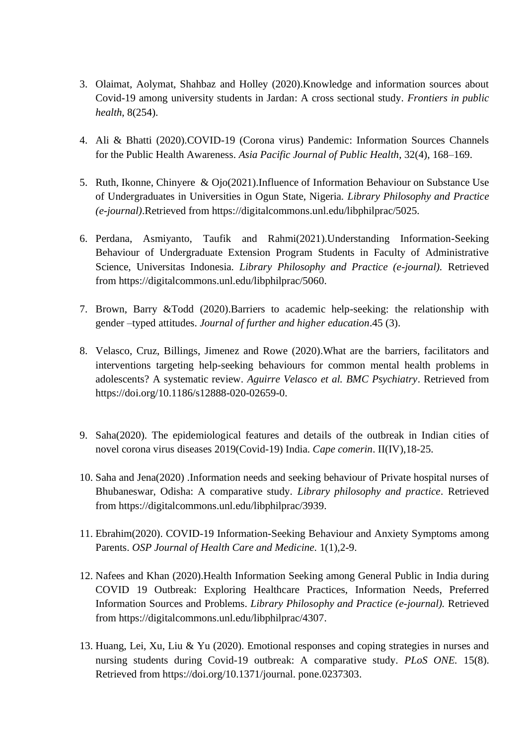- 3. Olaimat, Aolymat, Shahbaz and Holley (2020).Knowledge and information sources about Covid-19 among university students in Jardan: A cross sectional study. *Frontiers in public health*, 8(254).
- 4. Ali & Bhatti (2020).COVID-19 (Corona virus) Pandemic: Information Sources Channels for the Public Health Awareness. *Asia Pacific Journal of Public Health*, 32(4), 168–169.
- 5. Ruth, Ikonne, Chinyere & Ojo(2021).Influence of Information Behaviour on Substance Use of Undergraduates in Universities in Ogun State, Nigeria. *Library Philosophy and Practice (e-journal)*.Retrieved from https://digitalcommons.unl.edu/libphilprac/5025.
- 6. Perdana, Asmiyanto, Taufik and Rahmi(2021).Understanding Information-Seeking Behaviour of Undergraduate Extension Program Students in Faculty of Administrative Science, Universitas Indonesia. *Library Philosophy and Practice (e-journal).* Retrieved from [https://digitalcommons.unl.edu/libphilprac/5060.](https://digitalcommons.unl.edu/libphilprac/5060)
- 7. Brown, Barry &Todd (2020).Barriers to academic help-seeking: the relationship with gender –typed attitudes. *Journal of further and higher education*.45 (3).
- 8. Velasco, Cruz, Billings, Jimenez and Rowe (2020).What are the barriers, facilitators and interventions targeting help-seeking behaviours for common mental health problems in adolescents? A systematic review. *Aguirre Velasco et al. BMC Psychiatry*. Retrieved from https://doi.org/10.1186/s12888-020-02659-0.
- 9. Saha(2020). The epidemiological features and details of the outbreak in Indian cities of novel corona virus diseases 2019(Covid-19) India. *Cape comerin*. II(IV),18-25.
- 10. Saha and Jena(2020) .Information needs and seeking behaviour of Private hospital nurses of Bhubaneswar, Odisha: A comparative study. *Library philosophy and practice*. Retrieved from https://digitalcommons.unl.edu/libphilprac/3939.
- 11. Ebrahim(2020). COVID-19 Information-Seeking Behaviour and Anxiety Symptoms among Parents. *OSP Journal of Health Care and Medicine*. 1(1),2-9.
- 12. Nafees and Khan (2020).Health Information Seeking among General Public in India during COVID 19 Outbreak: Exploring Healthcare Practices, Information Needs, Preferred Information Sources and Problems. *Library Philosophy and Practice (e-journal).* Retrieved from [https://digitalcommons.unl.edu/libphilprac/4307.](https://digitalcommons.unl.edu/libphilprac/4307)
- 13. Huang, Lei, Xu, Liu & Yu (2020). Emotional responses and coping strategies in nurses and nursing students during Covid-19 outbreak: A comparative study. *PLoS ONE.* 15(8). Retrieved from [https://doi.org/10.1371/journal. pone.0237303.](https://doi.org/10.1371/journal.%20pone.0237303)